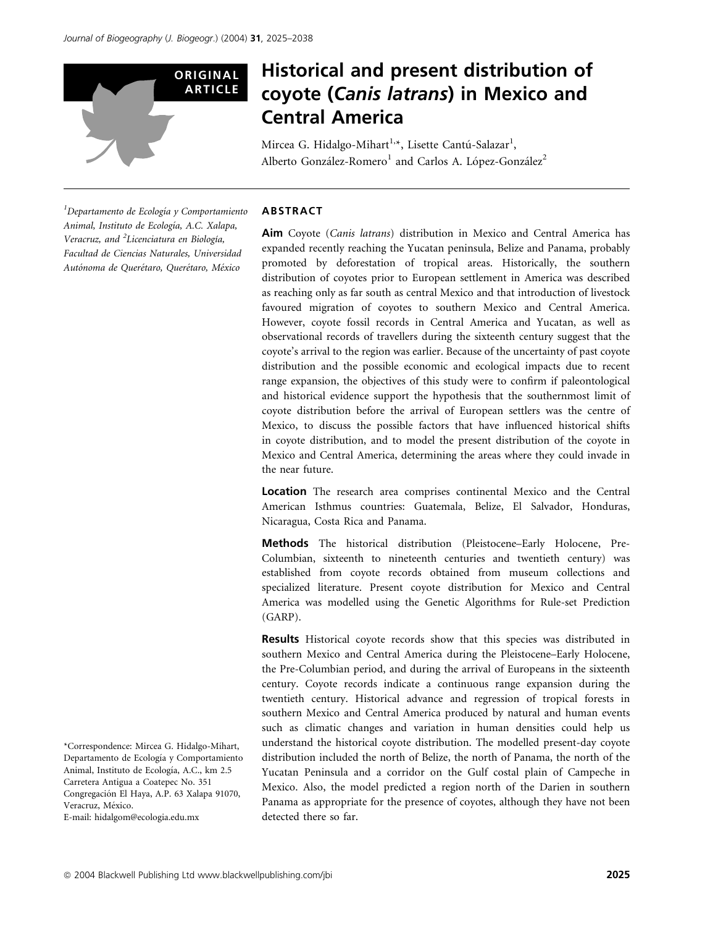

# Historical and present distribution of coyote (Canis latrans) in Mexico and Central America

Mircea G. Hidalgo-Mihart<sup>1,</sup>\*, Lisette Cantú-Salazar<sup>1</sup>, Alberto González-Romero<sup>1</sup> and Carlos A. López-González<sup>2</sup>

 $1$ Departamento de Ecología y Comportamiento Animal, Instituto de Ecología, A.C. Xalapa, Veracruz, and <sup>2</sup>Licenciatura en Biología, Facultad de Ciencias Naturales, Universidad Autónoma de Querétaro, Querétaro, México

# ABSTRACT

Aim Coyote (Canis latrans) distribution in Mexico and Central America has expanded recently reaching the Yucatan peninsula, Belize and Panama, probably promoted by deforestation of tropical areas. Historically, the southern distribution of coyotes prior to European settlement in America was described as reaching only as far south as central Mexico and that introduction of livestock favoured migration of coyotes to southern Mexico and Central America. However, coyote fossil records in Central America and Yucatan, as well as observational records of travellers during the sixteenth century suggest that the coyote's arrival to the region was earlier. Because of the uncertainty of past coyote distribution and the possible economic and ecological impacts due to recent range expansion, the objectives of this study were to confirm if paleontological and historical evidence support the hypothesis that the southernmost limit of coyote distribution before the arrival of European settlers was the centre of Mexico, to discuss the possible factors that have influenced historical shifts in coyote distribution, and to model the present distribution of the coyote in Mexico and Central America, determining the areas where they could invade in the near future.

Location The research area comprises continental Mexico and the Central American Isthmus countries: Guatemala, Belize, El Salvador, Honduras, Nicaragua, Costa Rica and Panama.

Methods The historical distribution (Pleistocene–Early Holocene, Pre-Columbian, sixteenth to nineteenth centuries and twentieth century) was established from coyote records obtained from museum collections and specialized literature. Present coyote distribution for Mexico and Central America was modelled using the Genetic Algorithms for Rule-set Prediction (GARP).

Results Historical coyote records show that this species was distributed in southern Mexico and Central America during the Pleistocene–Early Holocene, the Pre-Columbian period, and during the arrival of Europeans in the sixteenth century. Coyote records indicate a continuous range expansion during the twentieth century. Historical advance and regression of tropical forests in southern Mexico and Central America produced by natural and human events such as climatic changes and variation in human densities could help us understand the historical coyote distribution. The modelled present-day coyote distribution included the north of Belize, the north of Panama, the north of the Yucatan Peninsula and a corridor on the Gulf costal plain of Campeche in Mexico. Also, the model predicted a region north of the Darien in southern Panama as appropriate for the presence of coyotes, although they have not been detected there so far.

<sup>\*</sup>Correspondence: Mircea G. Hidalgo-Mihart, Departamento de Ecología y Comportamiento Animal, Instituto de Ecología, A.C., km 2.5 Carretera Antigua a Coatepec No. 351 Congregación El Haya, A.P. 63 Xalapa 91070, Veracruz, México. E-mail: hidalgom@ecologia.edu.mx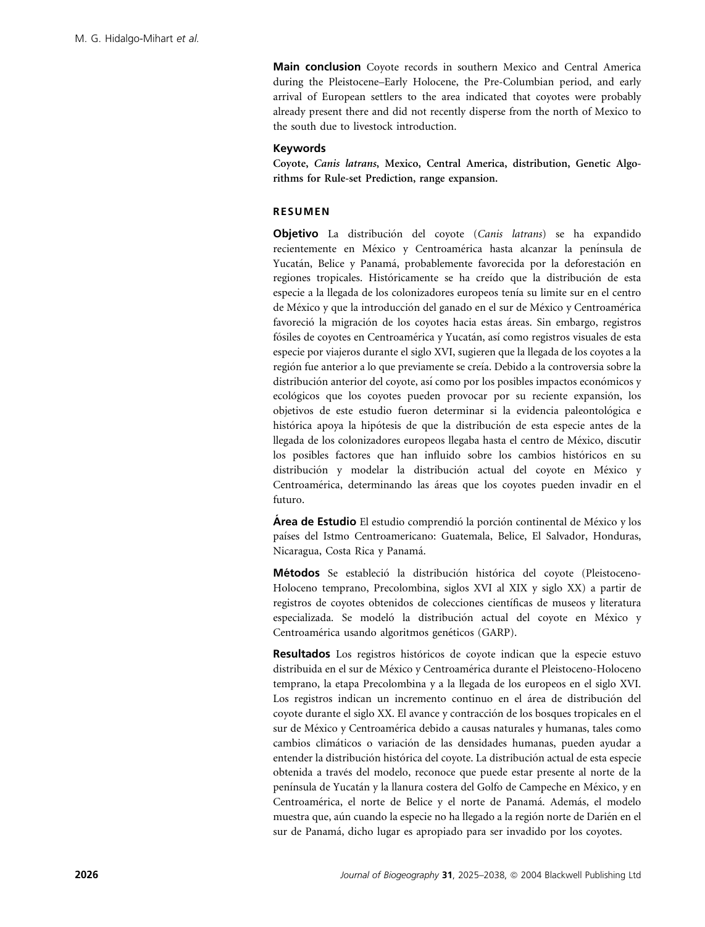Main conclusion Coyote records in southern Mexico and Central America during the Pleistocene–Early Holocene, the Pre-Columbian period, and early arrival of European settlers to the area indicated that coyotes were probably already present there and did not recently disperse from the north of Mexico to the south due to livestock introduction.

## Keywords

Coyote, Canis latrans, Mexico, Central America, distribution, Genetic Algorithms for Rule-set Prediction, range expansion.

## RESUMEN

Objetivo La distribución del coyote (Canis latrans) se ha expandido recientemente en México y Centroamérica hasta alcanzar la península de Yucatán, Belice y Panamá, probablemente favorecida por la deforestación en regiones tropicales. Históricamente se ha creído que la distribución de esta especie a la llegada de los colonizadores europeos tenı´a su limite sur en el centro de México y que la introducción del ganado en el sur de México y Centroamérica favoreció la migración de los coyotes hacia estas áreas. Sin embargo, registros fósiles de coyotes en Centroamérica y Yucatán, así como registros visuales de esta especie por viajeros durante el siglo XVI, sugieren que la llegada de los coyotes a la región fue anterior a lo que previamente se creía. Debido a la controversia sobre la distribución anterior del coyote, así como por los posibles impactos económicos y ecológicos que los coyotes pueden provocar por su reciente expansión, los objetivos de este estudio fueron determinar si la evidencia paleontológica e histórica apoya la hipótesis de que la distribución de esta especie antes de la llegada de los colonizadores europeos llegaba hasta el centro de México, discutir los posibles factores que han influido sobre los cambios históricos en su distribución y modelar la distribución actual del coyote en México y Centroamérica, determinando las áreas que los coyotes pueden invadir en el futuro.

Area de Estudio El estudio comprendió la porción continental de México y los países del Istmo Centroamericano: Guatemala, Belice, El Salvador, Honduras, Nicaragua, Costa Rica y Panamá.

Métodos Se estableció la distribución histórica del coyote (Pleistoceno-Holoceno temprano, Precolombina, siglos XVI al XIX y siglo XX) a partir de registros de coyotes obtenidos de colecciones científicas de museos y literatura especializada. Se modeló la distribución actual del coyote en México y Centroamérica usando algoritmos genéticos (GARP).

Resultados Los registros históricos de coyote indican que la especie estuvo distribuida en el sur de México y Centroamérica durante el Pleistoceno-Holoceno temprano, la etapa Precolombina y a la llegada de los europeos en el siglo XVI. Los registros indican un incremento continuo en el área de distribución del coyote durante el siglo XX. El avance y contracción de los bosques tropicales en el sur de México y Centroamérica debido a causas naturales y humanas, tales como cambios climáticos o variación de las densidades humanas, pueden ayudar a entender la distribución histórica del coyote. La distribución actual de esta especie obtenida a través del modelo, reconoce que puede estar presente al norte de la península de Yucatán y la llanura costera del Golfo de Campeche en México, y en Centroamérica, el norte de Belice y el norte de Panamá. Además, el modelo muestra que, aún cuando la especie no ha llegado a la región norte de Darién en el sur de Panamá, dicho lugar es apropiado para ser invadido por los coyotes.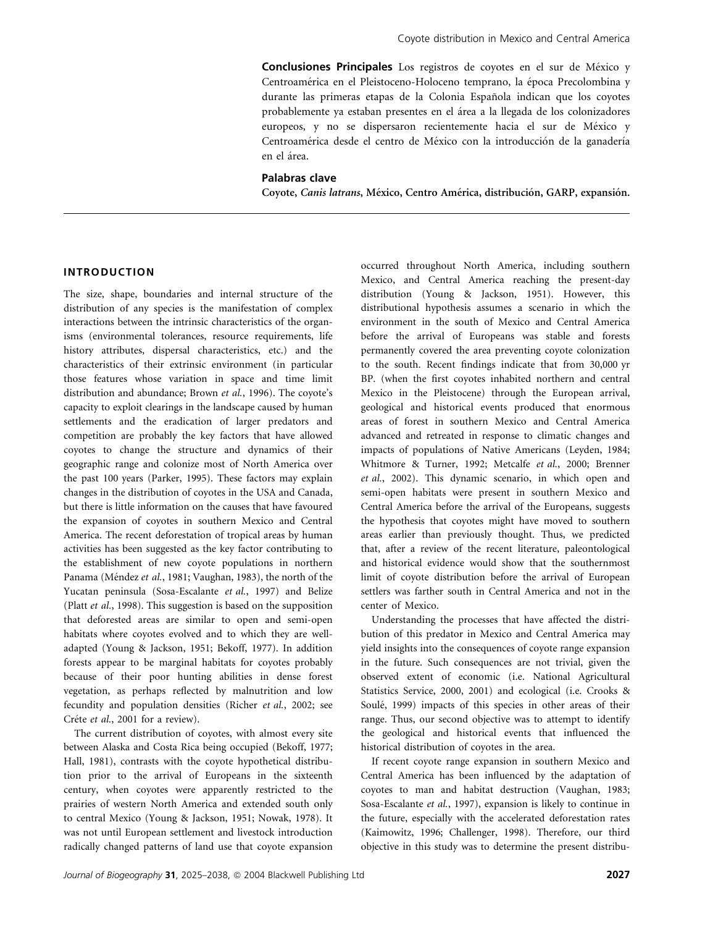Conclusiones Principales Los registros de coyotes en el sur de México y Centroamérica en el Pleistoceno-Holoceno temprano, la época Precolombina y durante las primeras etapas de la Colonia Española indican que los coyotes probablemente ya estaban presentes en el área a la llegada de los colonizadores europeos, y no se dispersaron recientemente hacia el sur de México y Centroamérica desde el centro de México con la introducción de la ganadería en el área.

# Palabras clave

Coyote, Canis latrans, México, Centro América, distribución, GARP, expansión.

# INTRODUCTION

The size, shape, boundaries and internal structure of the distribution of any species is the manifestation of complex interactions between the intrinsic characteristics of the organisms (environmental tolerances, resource requirements, life history attributes, dispersal characteristics, etc.) and the characteristics of their extrinsic environment (in particular those features whose variation in space and time limit distribution and abundance; Brown et al., 1996). The coyote's capacity to exploit clearings in the landscape caused by human settlements and the eradication of larger predators and competition are probably the key factors that have allowed coyotes to change the structure and dynamics of their geographic range and colonize most of North America over the past 100 years (Parker, 1995). These factors may explain changes in the distribution of coyotes in the USA and Canada, but there is little information on the causes that have favoured the expansion of coyotes in southern Mexico and Central America. The recent deforestation of tropical areas by human activities has been suggested as the key factor contributing to the establishment of new coyote populations in northern Panama (Méndez et al., 1981; Vaughan, 1983), the north of the Yucatan peninsula (Sosa-Escalante et al., 1997) and Belize (Platt et al., 1998). This suggestion is based on the supposition that deforested areas are similar to open and semi-open habitats where coyotes evolved and to which they are welladapted (Young & Jackson, 1951; Bekoff, 1977). In addition forests appear to be marginal habitats for coyotes probably because of their poor hunting abilities in dense forest vegetation, as perhaps reflected by malnutrition and low fecundity and population densities (Richer et al., 2002; see Créte et al., 2001 for a review).

The current distribution of coyotes, with almost every site between Alaska and Costa Rica being occupied (Bekoff, 1977; Hall, 1981), contrasts with the coyote hypothetical distribution prior to the arrival of Europeans in the sixteenth century, when coyotes were apparently restricted to the prairies of western North America and extended south only to central Mexico (Young & Jackson, 1951; Nowak, 1978). It was not until European settlement and livestock introduction radically changed patterns of land use that coyote expansion

occurred throughout North America, including southern Mexico, and Central America reaching the present-day distribution (Young & Jackson, 1951). However, this distributional hypothesis assumes a scenario in which the environment in the south of Mexico and Central America before the arrival of Europeans was stable and forests permanently covered the area preventing coyote colonization to the south. Recent findings indicate that from 30,000 yr BP. (when the first coyotes inhabited northern and central Mexico in the Pleistocene) through the European arrival, geological and historical events produced that enormous areas of forest in southern Mexico and Central America advanced and retreated in response to climatic changes and impacts of populations of Native Americans (Leyden, 1984; Whitmore & Turner, 1992; Metcalfe et al., 2000; Brenner et al., 2002). This dynamic scenario, in which open and semi-open habitats were present in southern Mexico and Central America before the arrival of the Europeans, suggests the hypothesis that coyotes might have moved to southern areas earlier than previously thought. Thus, we predicted that, after a review of the recent literature, paleontological and historical evidence would show that the southernmost limit of coyote distribution before the arrival of European settlers was farther south in Central America and not in the center of Mexico.

Understanding the processes that have affected the distribution of this predator in Mexico and Central America may yield insights into the consequences of coyote range expansion in the future. Such consequences are not trivial, given the observed extent of economic (i.e. National Agricultural Statistics Service, 2000, 2001) and ecological (i.e. Crooks & Soulé, 1999) impacts of this species in other areas of their range. Thus, our second objective was to attempt to identify the geological and historical events that influenced the historical distribution of coyotes in the area.

If recent coyote range expansion in southern Mexico and Central America has been influenced by the adaptation of coyotes to man and habitat destruction (Vaughan, 1983; Sosa-Escalante et al., 1997), expansion is likely to continue in the future, especially with the accelerated deforestation rates (Kaimowitz, 1996; Challenger, 1998). Therefore, our third objective in this study was to determine the present distribu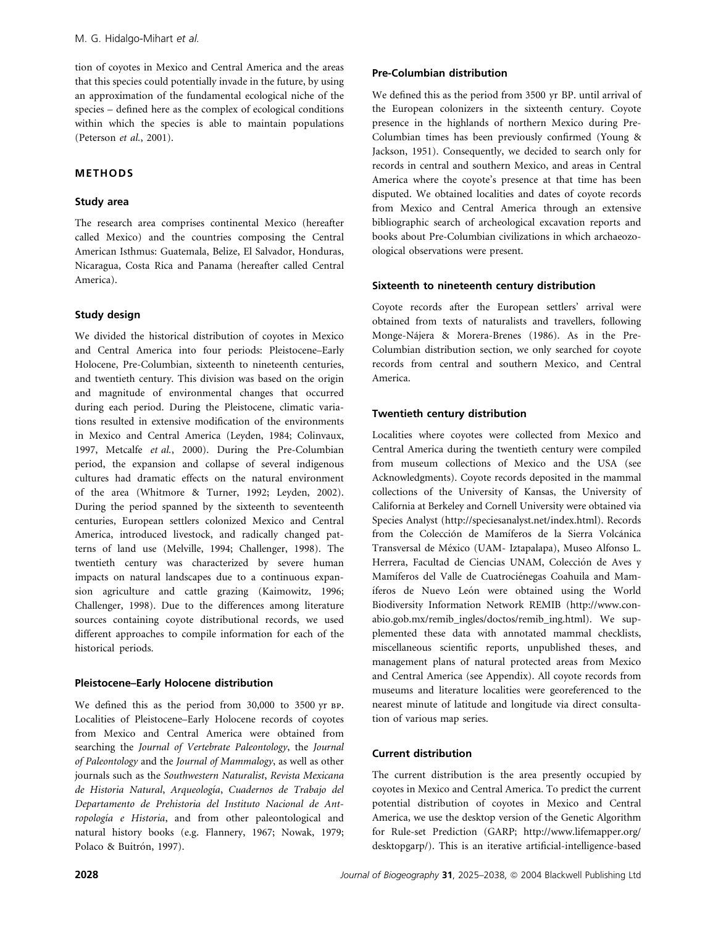tion of coyotes in Mexico and Central America and the areas that this species could potentially invade in the future, by using an approximation of the fundamental ecological niche of the species – defined here as the complex of ecological conditions within which the species is able to maintain populations (Peterson et al., 2001).

# METHODS

# Study area

The research area comprises continental Mexico (hereafter called Mexico) and the countries composing the Central American Isthmus: Guatemala, Belize, El Salvador, Honduras, Nicaragua, Costa Rica and Panama (hereafter called Central America).

# Study design

We divided the historical distribution of coyotes in Mexico and Central America into four periods: Pleistocene–Early Holocene, Pre-Columbian, sixteenth to nineteenth centuries, and twentieth century. This division was based on the origin and magnitude of environmental changes that occurred during each period. During the Pleistocene, climatic variations resulted in extensive modification of the environments in Mexico and Central America (Leyden, 1984; Colinvaux, 1997, Metcalfe et al., 2000). During the Pre-Columbian period, the expansion and collapse of several indigenous cultures had dramatic effects on the natural environment of the area (Whitmore & Turner, 1992; Leyden, 2002). During the period spanned by the sixteenth to seventeenth centuries, European settlers colonized Mexico and Central America, introduced livestock, and radically changed patterns of land use (Melville, 1994; Challenger, 1998). The twentieth century was characterized by severe human impacts on natural landscapes due to a continuous expansion agriculture and cattle grazing (Kaimowitz, 1996; Challenger, 1998). Due to the differences among literature sources containing coyote distributional records, we used different approaches to compile information for each of the historical periods.

# Pleistocene–Early Holocene distribution

We defined this as the period from 30,000 to 3500 yr BP. Localities of Pleistocene–Early Holocene records of coyotes from Mexico and Central America were obtained from searching the Journal of Vertebrate Paleontology, the Journal of Paleontology and the Journal of Mammalogy, as well as other journals such as the Southwestern Naturalist, Revista Mexicana de Historia Natural, Arqueología, Cuadernos de Trabajo del Departamento de Prehistoria del Instituto Nacional de Antropología e Historia, and from other paleontological and natural history books (e.g. Flannery, 1967; Nowak, 1979; Polaco & Buitrón, 1997).

We defined this as the period from 3500 yr BP. until arrival of the European colonizers in the sixteenth century. Coyote presence in the highlands of northern Mexico during Pre-Columbian times has been previously confirmed (Young & Jackson, 1951). Consequently, we decided to search only for records in central and southern Mexico, and areas in Central America where the coyote's presence at that time has been disputed. We obtained localities and dates of coyote records from Mexico and Central America through an extensive bibliographic search of archeological excavation reports and books about Pre-Columbian civilizations in which archaeozoological observations were present.

# Sixteenth to nineteenth century distribution

Coyote records after the European settlers' arrival were obtained from texts of naturalists and travellers, following Monge-Nájera & Morera-Brenes (1986). As in the Pre-Columbian distribution section, we only searched for coyote records from central and southern Mexico, and Central America.

# Twentieth century distribution

Localities where coyotes were collected from Mexico and Central America during the twentieth century were compiled from museum collections of Mexico and the USA (see Acknowledgments). Coyote records deposited in the mammal collections of the University of Kansas, the University of California at Berkeley and Cornell University were obtained via Species Analyst (http://speciesanalyst.net/index.html). Records from the Colección de Mamíferos de la Sierra Volcánica Transversal de México (UAM- Iztapalapa), Museo Alfonso L. Herrera, Facultad de Ciencias UNAM, Colección de Aves y Mamíferos del Valle de Cuatrociénegas Coahuila and Mamíferos de Nuevo León were obtained using the World Biodiversity Information Network REMIB (http://www.conabio.gob.mx/remib\_ingles/doctos/remib\_ing.html). We supplemented these data with annotated mammal checklists, miscellaneous scientific reports, unpublished theses, and management plans of natural protected areas from Mexico and Central America (see Appendix). All coyote records from museums and literature localities were georeferenced to the nearest minute of latitude and longitude via direct consultation of various map series.

# Current distribution

The current distribution is the area presently occupied by coyotes in Mexico and Central America. To predict the current potential distribution of coyotes in Mexico and Central America, we use the desktop version of the Genetic Algorithm for Rule-set Prediction (GARP; http://www.lifemapper.org/ desktopgarp/). This is an iterative artificial-intelligence-based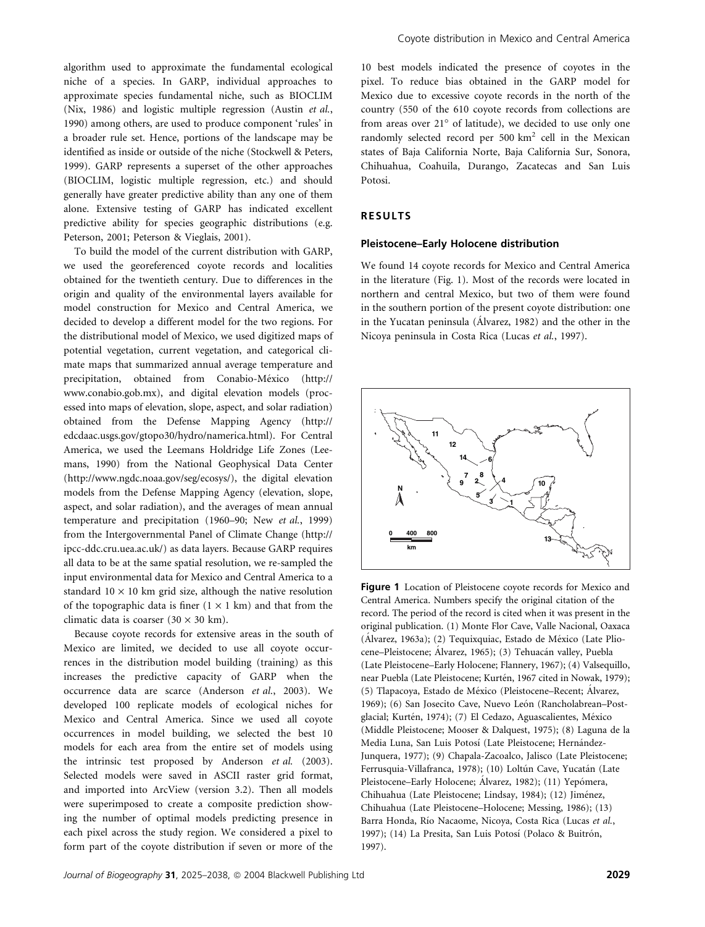algorithm used to approximate the fundamental ecological niche of a species. In GARP, individual approaches to approximate species fundamental niche, such as BIOCLIM (Nix, 1986) and logistic multiple regression (Austin et al., 1990) among others, are used to produce component 'rules' in a broader rule set. Hence, portions of the landscape may be identified as inside or outside of the niche (Stockwell & Peters, 1999). GARP represents a superset of the other approaches (BIOCLIM, logistic multiple regression, etc.) and should generally have greater predictive ability than any one of them alone. Extensive testing of GARP has indicated excellent predictive ability for species geographic distributions (e.g. Peterson, 2001; Peterson & Vieglais, 2001).

To build the model of the current distribution with GARP, we used the georeferenced coyote records and localities obtained for the twentieth century. Due to differences in the origin and quality of the environmental layers available for model construction for Mexico and Central America, we decided to develop a different model for the two regions. For the distributional model of Mexico, we used digitized maps of potential vegetation, current vegetation, and categorical climate maps that summarized annual average temperature and precipitation, obtained from Conabio-México (http:// www.conabio.gob.mx), and digital elevation models (processed into maps of elevation, slope, aspect, and solar radiation) obtained from the Defense Mapping Agency (http:// edcdaac.usgs.gov/gtopo30/hydro/namerica.html). For Central America, we used the Leemans Holdridge Life Zones (Leemans, 1990) from the National Geophysical Data Center (http://www.ngdc.noaa.gov/seg/ecosys/), the digital elevation models from the Defense Mapping Agency (elevation, slope, aspect, and solar radiation), and the averages of mean annual temperature and precipitation (1960–90; New et al., 1999) from the Intergovernmental Panel of Climate Change (http:// ipcc-ddc.cru.uea.ac.uk/) as data layers. Because GARP requires all data to be at the same spatial resolution, we re-sampled the input environmental data for Mexico and Central America to a standard  $10 \times 10$  km grid size, although the native resolution of the topographic data is finer  $(1 \times 1 \text{ km})$  and that from the climatic data is coarser  $(30 \times 30 \text{ km})$ .

Because coyote records for extensive areas in the south of Mexico are limited, we decided to use all coyote occurrences in the distribution model building (training) as this increases the predictive capacity of GARP when the occurrence data are scarce (Anderson et al., 2003). We developed 100 replicate models of ecological niches for Mexico and Central America. Since we used all coyote occurrences in model building, we selected the best 10 models for each area from the entire set of models using the intrinsic test proposed by Anderson et al. (2003). Selected models were saved in ASCII raster grid format, and imported into ArcView (version 3.2). Then all models were superimposed to create a composite prediction showing the number of optimal models predicting presence in each pixel across the study region. We considered a pixel to form part of the coyote distribution if seven or more of the

10 best models indicated the presence of coyotes in the pixel. To reduce bias obtained in the GARP model for Mexico due to excessive coyote records in the north of the country (550 of the 610 coyote records from collections are from areas over  $21^{\circ}$  of latitude), we decided to use only one randomly selected record per 500 km<sup>2</sup> cell in the Mexican states of Baja California Norte, Baja California Sur, Sonora, Chihuahua, Coahuila, Durango, Zacatecas and San Luis Potosi.

#### RESULTS

#### Pleistocene–Early Holocene distribution

We found 14 coyote records for Mexico and Central America in the literature (Fig. 1). Most of the records were located in northern and central Mexico, but two of them were found in the southern portion of the present coyote distribution: one in the Yucatan peninsula (Alvarez, 1982) and the other in the Nicoya peninsula in Costa Rica (Lucas et al., 1997).



Figure 1 Location of Pleistocene coyote records for Mexico and Central America. Numbers specify the original citation of the record. The period of the record is cited when it was present in the original publication. (1) Monte Flor Cave, Valle Nacional, Oaxaca (Álvarez, 1963a); (2) Tequixquiac, Estado de México (Late Pliocene–Pleistocene; Álvarez, 1965); (3) Tehuacán valley, Puebla (Late Pleistocene–Early Holocene; Flannery, 1967); (4) Valsequillo, near Puebla (Late Pleistocene; Kurtén, 1967 cited in Nowak, 1979); (5) Tlapacoya, Estado de México (Pleistocene–Recent; Álvarez, 1969); (6) San Josecito Cave, Nuevo León (Rancholabrean-Postglacial; Kurtén, 1974); (7) El Cedazo, Aguascalientes, México (Middle Pleistocene; Mooser & Dalquest, 1975); (8) Laguna de la Media Luna, San Luis Potosí (Late Pleistocene; Hernández-Junquera, 1977); (9) Chapala-Zacoalco, Jalisco (Late Pleistocene; Ferrusquia-Villafranca, 1978); (10) Loltún Cave, Yucatán (Late Pleistocene–Early Holocene; Álvarez, 1982); (11) Yepómera, Chihuahua (Late Pleistocene; Lindsay, 1984); (12) Jiménez, Chihuahua (Late Pleistocene–Holocene; Messing, 1986); (13) Barra Honda, Río Nacaome, Nicoya, Costa Rica (Lucas et al., 1997); (14) La Presita, San Luis Potosí (Polaco & Buitrón, 1997).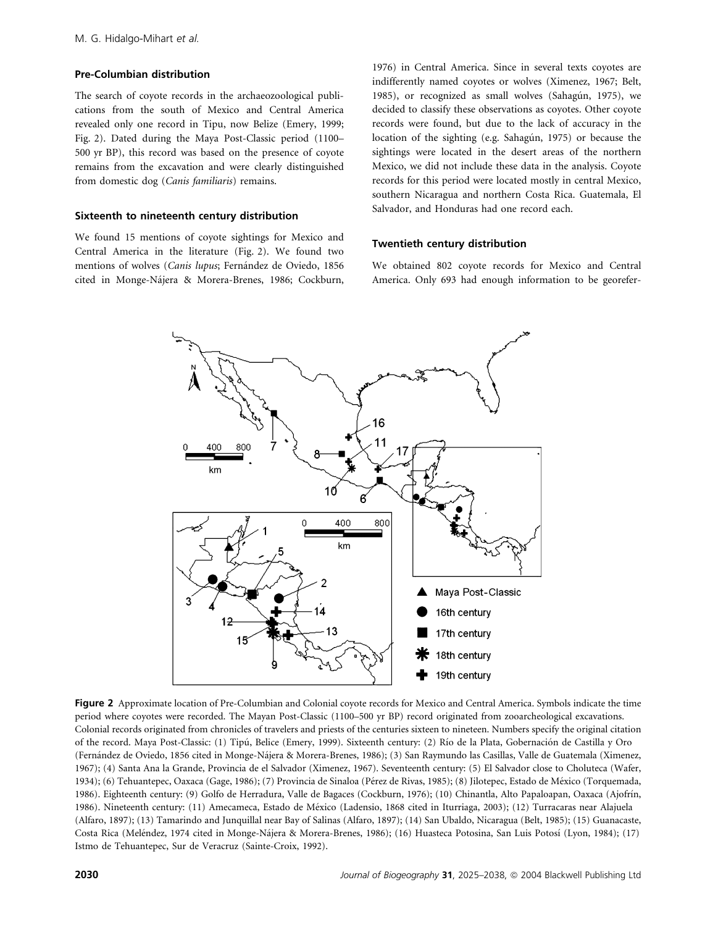#### Pre-Columbian distribution

The search of coyote records in the archaeozoological publications from the south of Mexico and Central America revealed only one record in Tipu, now Belize (Emery, 1999; Fig. 2). Dated during the Maya Post-Classic period (1100– 500 yr BP), this record was based on the presence of coyote remains from the excavation and were clearly distinguished from domestic dog (Canis familiaris) remains.

#### Sixteenth to nineteenth century distribution

We found 15 mentions of coyote sightings for Mexico and Central America in the literature (Fig. 2). We found two mentions of wolves (Canis lupus; Fernández de Oviedo, 1856 cited in Monge-Na´jera & Morera-Brenes, 1986; Cockburn,

1976) in Central America. Since in several texts coyotes are indifferently named coyotes or wolves (Ximenez, 1967; Belt, 1985), or recognized as small wolves (Sahagún, 1975), we decided to classify these observations as coyotes. Other coyote records were found, but due to the lack of accuracy in the location of the sighting (e.g. Sahagún, 1975) or because the sightings were located in the desert areas of the northern Mexico, we did not include these data in the analysis. Coyote records for this period were located mostly in central Mexico, southern Nicaragua and northern Costa Rica. Guatemala, El Salvador, and Honduras had one record each.

#### Twentieth century distribution

We obtained 802 coyote records for Mexico and Central America. Only 693 had enough information to be georefer-



Figure 2 Approximate location of Pre-Columbian and Colonial coyote records for Mexico and Central America. Symbols indicate the time period where coyotes were recorded. The Mayan Post-Classic (1100–500 yr BP) record originated from zooarcheological excavations. Colonial records originated from chronicles of travelers and priests of the centuries sixteen to nineteen. Numbers specify the original citation of the record. Maya Post-Classic: (1) Tipú, Belice (Emery, 1999). Sixteenth century: (2) Río de la Plata, Gobernación de Castilla y Oro (Ferna´ndez de Oviedo, 1856 cited in Monge-Na´jera & Morera-Brenes, 1986); (3) San Raymundo las Casillas, Valle de Guatemala (Ximenez, 1967); (4) Santa Ana la Grande, Provincia de el Salvador (Ximenez, 1967). Seventeenth century: (5) El Salvador close to Choluteca (Wafer, 1934); (6) Tehuantepec, Oaxaca (Gage, 1986); (7) Provincia de Sinaloa (Pérez de Rivas, 1985); (8) Jilotepec, Estado de México (Torquemada, 1986). Eighteenth century: (9) Golfo de Herradura, Valle de Bagaces (Cockburn, 1976); (10) Chinantla, Alto Papaloapan, Oaxaca (Ajofrín, 1986). Nineteenth century: (11) Amecameca, Estado de México (Ladensio, 1868 cited in Iturriaga, 2003); (12) Turracaras near Alajuela (Alfaro, 1897); (13) Tamarindo and Junquillal near Bay of Salinas (Alfaro, 1897); (14) San Ubaldo, Nicaragua (Belt, 1985); (15) Guanacaste, Costa Rica (Meléndez, 1974 cited in Monge-Nájera & Morera-Brenes, 1986); (16) Huasteca Potosina, San Luis Potosí (Lyon, 1984); (17) Istmo de Tehuantepec, Sur de Veracruz (Sainte-Croix, 1992).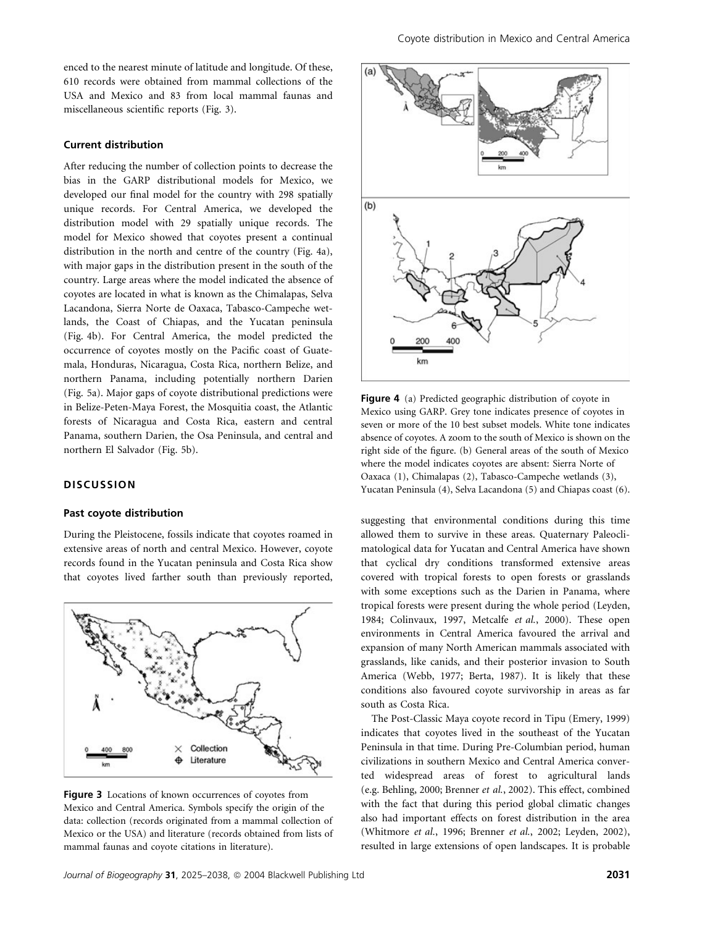enced to the nearest minute of latitude and longitude. Of these, 610 records were obtained from mammal collections of the USA and Mexico and 83 from local mammal faunas and miscellaneous scientific reports (Fig. 3).

## Current distribution

After reducing the number of collection points to decrease the bias in the GARP distributional models for Mexico, we developed our final model for the country with 298 spatially unique records. For Central America, we developed the distribution model with 29 spatially unique records. The model for Mexico showed that coyotes present a continual distribution in the north and centre of the country (Fig. 4a), with major gaps in the distribution present in the south of the country. Large areas where the model indicated the absence of coyotes are located in what is known as the Chimalapas, Selva Lacandona, Sierra Norte de Oaxaca, Tabasco-Campeche wetlands, the Coast of Chiapas, and the Yucatan peninsula (Fig. 4b). For Central America, the model predicted the occurrence of coyotes mostly on the Pacific coast of Guatemala, Honduras, Nicaragua, Costa Rica, northern Belize, and northern Panama, including potentially northern Darien (Fig. 5a). Major gaps of coyote distributional predictions were in Belize-Peten-Maya Forest, the Mosquitia coast, the Atlantic forests of Nicaragua and Costa Rica, eastern and central Panama, southern Darien, the Osa Peninsula, and central and northern El Salvador (Fig. 5b).

## **DISCUSSION**

#### Past coyote distribution

During the Pleistocene, fossils indicate that coyotes roamed in extensive areas of north and central Mexico. However, coyote records found in the Yucatan peninsula and Costa Rica show that coyotes lived farther south than previously reported,



Figure 3 Locations of known occurrences of coyotes from Mexico and Central America. Symbols specify the origin of the data: collection (records originated from a mammal collection of Mexico or the USA) and literature (records obtained from lists of mammal faunas and coyote citations in literature).



Figure 4 (a) Predicted geographic distribution of coyote in Mexico using GARP. Grey tone indicates presence of coyotes in seven or more of the 10 best subset models. White tone indicates absence of coyotes. A zoom to the south of Mexico is shown on the right side of the figure. (b) General areas of the south of Mexico where the model indicates coyotes are absent: Sierra Norte of Oaxaca (1), Chimalapas (2), Tabasco-Campeche wetlands (3), Yucatan Peninsula (4), Selva Lacandona (5) and Chiapas coast (6).

suggesting that environmental conditions during this time allowed them to survive in these areas. Quaternary Paleoclimatological data for Yucatan and Central America have shown that cyclical dry conditions transformed extensive areas covered with tropical forests to open forests or grasslands with some exceptions such as the Darien in Panama, where tropical forests were present during the whole period (Leyden, 1984; Colinvaux, 1997, Metcalfe et al., 2000). These open environments in Central America favoured the arrival and expansion of many North American mammals associated with grasslands, like canids, and their posterior invasion to South America (Webb, 1977; Berta, 1987). It is likely that these conditions also favoured coyote survivorship in areas as far south as Costa Rica.

The Post-Classic Maya coyote record in Tipu (Emery, 1999) indicates that coyotes lived in the southeast of the Yucatan Peninsula in that time. During Pre-Columbian period, human civilizations in southern Mexico and Central America converted widespread areas of forest to agricultural lands (e.g. Behling, 2000; Brenner et al., 2002). This effect, combined with the fact that during this period global climatic changes also had important effects on forest distribution in the area (Whitmore et al., 1996; Brenner et al., 2002; Leyden, 2002), resulted in large extensions of open landscapes. It is probable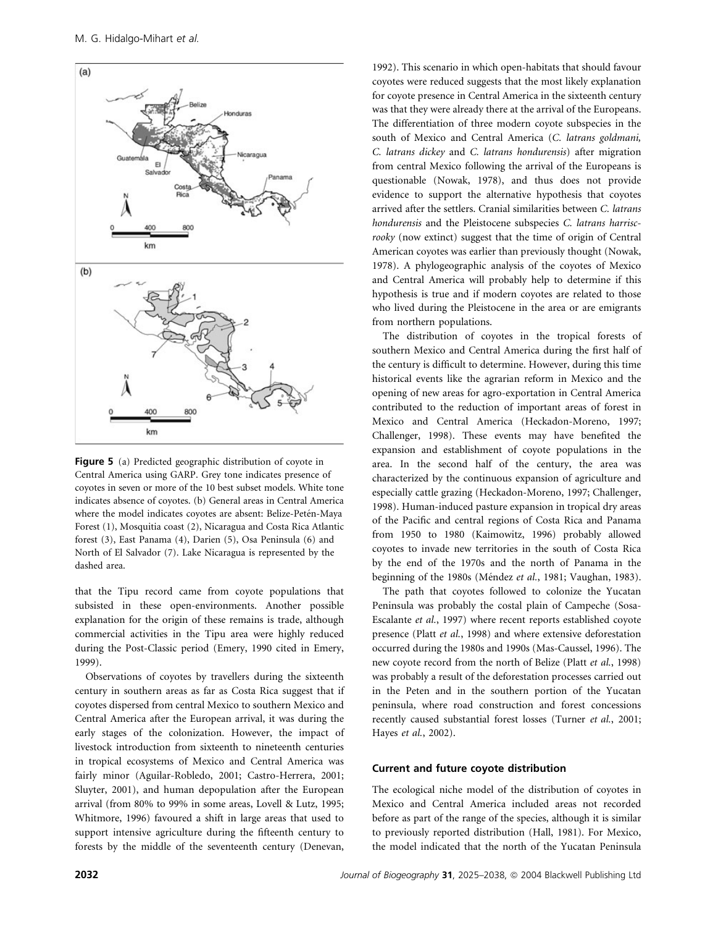

Figure 5 (a) Predicted geographic distribution of coyote in Central America using GARP. Grey tone indicates presence of coyotes in seven or more of the 10 best subset models. White tone indicates absence of coyotes. (b) General areas in Central America where the model indicates coyotes are absent: Belize-Petén-Maya Forest (1), Mosquitia coast (2), Nicaragua and Costa Rica Atlantic forest (3), East Panama (4), Darien (5), Osa Peninsula (6) and North of El Salvador (7). Lake Nicaragua is represented by the dashed area.

that the Tipu record came from coyote populations that subsisted in these open-environments. Another possible explanation for the origin of these remains is trade, although commercial activities in the Tipu area were highly reduced during the Post-Classic period (Emery, 1990 cited in Emery, 1999).

Observations of coyotes by travellers during the sixteenth century in southern areas as far as Costa Rica suggest that if coyotes dispersed from central Mexico to southern Mexico and Central America after the European arrival, it was during the early stages of the colonization. However, the impact of livestock introduction from sixteenth to nineteenth centuries in tropical ecosystems of Mexico and Central America was fairly minor (Aguilar-Robledo, 2001; Castro-Herrera, 2001; Sluyter, 2001), and human depopulation after the European arrival (from 80% to 99% in some areas, Lovell & Lutz, 1995; Whitmore, 1996) favoured a shift in large areas that used to support intensive agriculture during the fifteenth century to forests by the middle of the seventeenth century (Denevan, 1992). This scenario in which open-habitats that should favour coyotes were reduced suggests that the most likely explanation for coyote presence in Central America in the sixteenth century was that they were already there at the arrival of the Europeans. The differentiation of three modern coyote subspecies in the south of Mexico and Central America (C. latrans goldmani, C. latrans dickey and C. latrans hondurensis) after migration from central Mexico following the arrival of the Europeans is questionable (Nowak, 1978), and thus does not provide evidence to support the alternative hypothesis that coyotes arrived after the settlers. Cranial similarities between C. latrans hondurensis and the Pleistocene subspecies C. latrans harriscrooky (now extinct) suggest that the time of origin of Central American coyotes was earlier than previously thought (Nowak, 1978). A phylogeographic analysis of the coyotes of Mexico and Central America will probably help to determine if this hypothesis is true and if modern coyotes are related to those who lived during the Pleistocene in the area or are emigrants from northern populations.

The distribution of coyotes in the tropical forests of southern Mexico and Central America during the first half of the century is difficult to determine. However, during this time historical events like the agrarian reform in Mexico and the opening of new areas for agro-exportation in Central America contributed to the reduction of important areas of forest in Mexico and Central America (Heckadon-Moreno, 1997; Challenger, 1998). These events may have benefited the expansion and establishment of coyote populations in the area. In the second half of the century, the area was characterized by the continuous expansion of agriculture and especially cattle grazing (Heckadon-Moreno, 1997; Challenger, 1998). Human-induced pasture expansion in tropical dry areas of the Pacific and central regions of Costa Rica and Panama from 1950 to 1980 (Kaimowitz, 1996) probably allowed coyotes to invade new territories in the south of Costa Rica by the end of the 1970s and the north of Panama in the beginning of the 1980s (Méndez et al., 1981; Vaughan, 1983).

The path that coyotes followed to colonize the Yucatan Peninsula was probably the costal plain of Campeche (Sosa-Escalante et al., 1997) where recent reports established coyote presence (Platt et al., 1998) and where extensive deforestation occurred during the 1980s and 1990s (Mas-Caussel, 1996). The new coyote record from the north of Belize (Platt et al., 1998) was probably a result of the deforestation processes carried out in the Peten and in the southern portion of the Yucatan peninsula, where road construction and forest concessions recently caused substantial forest losses (Turner et al., 2001; Hayes et al., 2002).

#### Current and future coyote distribution

The ecological niche model of the distribution of coyotes in Mexico and Central America included areas not recorded before as part of the range of the species, although it is similar to previously reported distribution (Hall, 1981). For Mexico, the model indicated that the north of the Yucatan Peninsula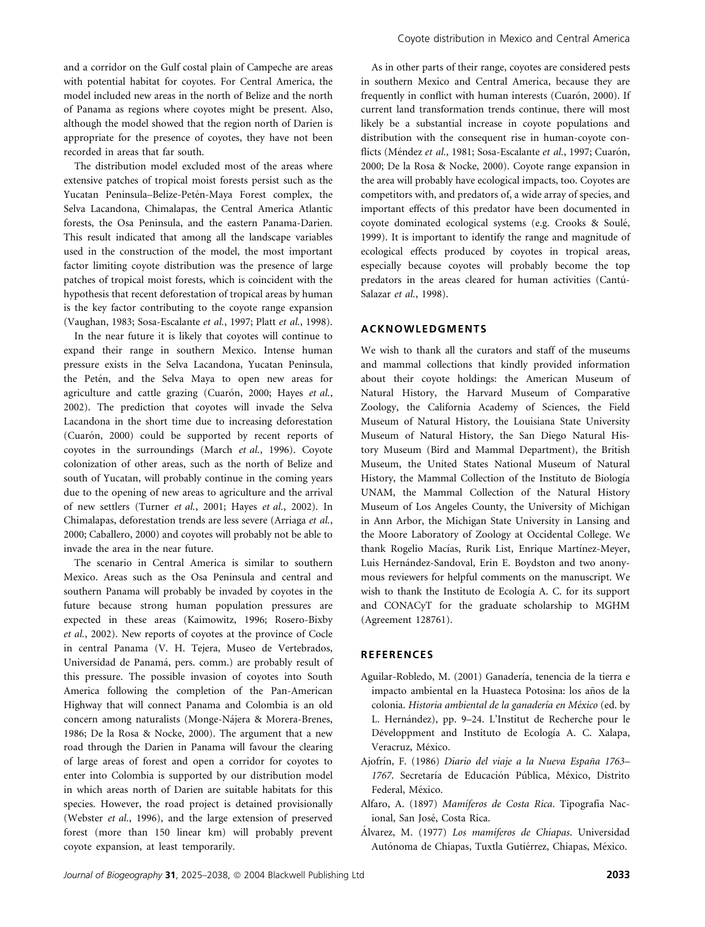and a corridor on the Gulf costal plain of Campeche are areas with potential habitat for coyotes. For Central America, the model included new areas in the north of Belize and the north of Panama as regions where coyotes might be present. Also, although the model showed that the region north of Darien is appropriate for the presence of coyotes, they have not been recorded in areas that far south.

The distribution model excluded most of the areas where extensive patches of tropical moist forests persist such as the Yucatan Peninsula–Belize-Petén-Maya Forest complex, the Selva Lacandona, Chimalapas, the Central America Atlantic forests, the Osa Peninsula, and the eastern Panama-Darien. This result indicated that among all the landscape variables used in the construction of the model, the most important factor limiting coyote distribution was the presence of large patches of tropical moist forests, which is coincident with the hypothesis that recent deforestation of tropical areas by human is the key factor contributing to the coyote range expansion (Vaughan, 1983; Sosa-Escalante et al., 1997; Platt et al., 1998).

In the near future it is likely that coyotes will continue to expand their range in southern Mexico. Intense human pressure exists in the Selva Lacandona, Yucatan Peninsula, the Petén, and the Selva Maya to open new areas for agriculture and cattle grazing (Cuarón, 2000; Hayes et al., 2002). The prediction that coyotes will invade the Selva Lacandona in the short time due to increasing deforestation (Cuarón, 2000) could be supported by recent reports of coyotes in the surroundings (March et al., 1996). Coyote colonization of other areas, such as the north of Belize and south of Yucatan, will probably continue in the coming years due to the opening of new areas to agriculture and the arrival of new settlers (Turner et al., 2001; Hayes et al., 2002). In Chimalapas, deforestation trends are less severe (Arriaga et al., 2000; Caballero, 2000) and coyotes will probably not be able to invade the area in the near future.

The scenario in Central America is similar to southern Mexico. Areas such as the Osa Peninsula and central and southern Panama will probably be invaded by coyotes in the future because strong human population pressures are expected in these areas (Kaimowitz, 1996; Rosero-Bixby et al., 2002). New reports of coyotes at the province of Cocle in central Panama (V. H. Tejera, Museo de Vertebrados, Universidad de Panamá, pers. comm.) are probably result of this pressure. The possible invasion of coyotes into South America following the completion of the Pan-American Highway that will connect Panama and Colombia is an old concern among naturalists (Monge-Nájera & Morera-Brenes, 1986; De la Rosa & Nocke, 2000). The argument that a new road through the Darien in Panama will favour the clearing of large areas of forest and open a corridor for coyotes to enter into Colombia is supported by our distribution model in which areas north of Darien are suitable habitats for this species. However, the road project is detained provisionally (Webster et al., 1996), and the large extension of preserved forest (more than 150 linear km) will probably prevent coyote expansion, at least temporarily.

As in other parts of their range, coyotes are considered pests in southern Mexico and Central America, because they are frequently in conflict with human interests (Cuarón, 2000). If current land transformation trends continue, there will most likely be a substantial increase in coyote populations and distribution with the consequent rise in human-coyote conflicts (Méndez et al., 1981; Sosa-Escalante et al., 1997; Cuarón, 2000; De la Rosa & Nocke, 2000). Coyote range expansion in the area will probably have ecological impacts, too. Coyotes are competitors with, and predators of, a wide array of species, and important effects of this predator have been documented in coyote dominated ecological systems (e.g. Crooks & Soulé, 1999). It is important to identify the range and magnitude of ecological effects produced by coyotes in tropical areas, especially because coyotes will probably become the top predators in the areas cleared for human activities (Cantú-Salazar et al., 1998).

# ACKNOWLEDGMENTS

We wish to thank all the curators and staff of the museums and mammal collections that kindly provided information about their coyote holdings: the American Museum of Natural History, the Harvard Museum of Comparative Zoology, the California Academy of Sciences, the Field Museum of Natural History, the Louisiana State University Museum of Natural History, the San Diego Natural History Museum (Bird and Mammal Department), the British Museum, the United States National Museum of Natural History, the Mammal Collection of the Instituto de Biología UNAM, the Mammal Collection of the Natural History Museum of Los Angeles County, the University of Michigan in Ann Arbor, the Michigan State University in Lansing and the Moore Laboratory of Zoology at Occidental College. We thank Rogelio Macías, Rurik List, Enrique Martínez-Meyer, Luis Hernández-Sandoval, Erin E. Boydston and two anonymous reviewers for helpful comments on the manuscript. We wish to thank the Instituto de Ecología A. C. for its support and CONACyT for the graduate scholarship to MGHM (Agreement 128761).

## REFERENCES

- Aguilar-Robledo, M. (2001) Ganadería, tenencia de la tierra e impacto ambiental en la Huasteca Potosina: los años de la colonia. Historia ambiental de la ganadería en México (ed. by L. Hernández), pp. 9–24. L'Institut de Recherche pour le Développment and Instituto de Ecología A. C. Xalapa, Veracruz, México.
- Ajofrín, F. (1986) Diario del viaje a la Nueva España 1763-1767. Secretaría de Educación Pública, México, Distrito Federal, México.
- Alfaro, A. (1897) Mamíferos de Costa Rica. Tipografía Nacional, San José, Costa Rica.
- Álvarez, M. (1977) Los mamíferos de Chiapas. Universidad Autónoma de Chiapas, Tuxtla Gutiérrez, Chiapas, México.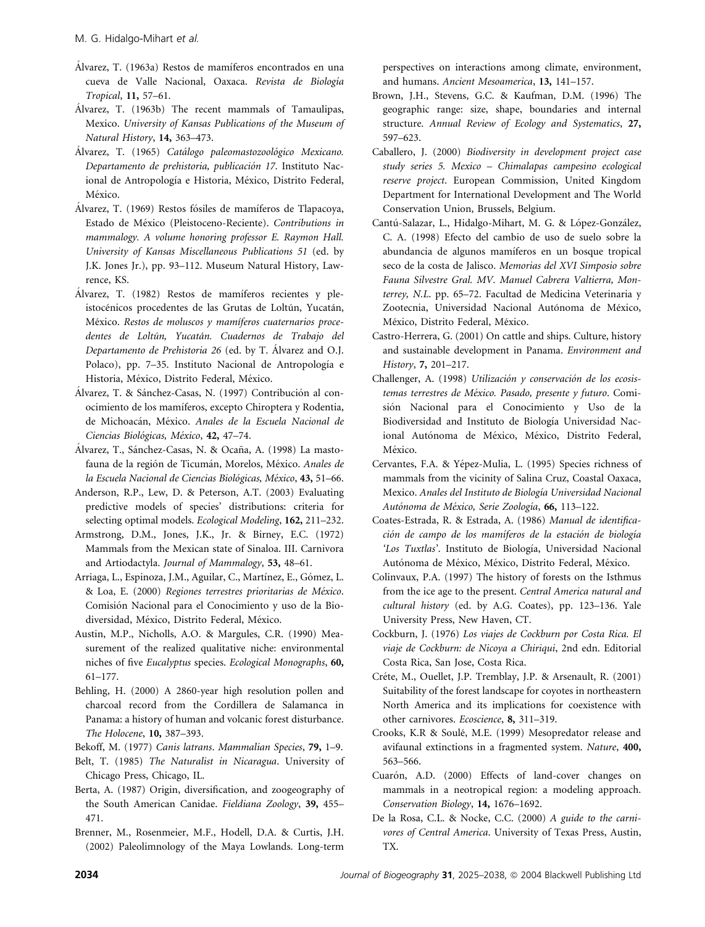- Álvarez, T. (1963a) Restos de mamíferos encontrados en una cueva de Valle Nacional, Oaxaca. Revista de Biología Tropical, 11, 57–61.
- Álvarez, T. (1963b) The recent mammals of Tamaulipas, Mexico. University of Kansas Publications of the Museum of Natural History, 14, 363–473.
- Álvarez, T. (1965) Catálogo paleomastozoológico Mexicano. Departamento de prehistoria, publicación 17. Instituto Nacional de Antropología e Historia, México, Distrito Federal, México.
- Álvarez, T. (1969) Restos fósiles de mamíferos de Tlapacoya, Estado de México (Pleistoceno-Reciente). Contributions in mammalogy. A volume honoring professor E. Raymon Hall. University of Kansas Miscellaneous Publications 51 (ed. by J.K. Jones Jr.), pp. 93–112. Museum Natural History, Lawrence, KS.
- Álvarez, T. (1982) Restos de mamíferos recientes y pleistocénicos procedentes de las Grutas de Loltún, Yucatán, México. Restos de moluscos y mamíferos cuaternarios procedentes de Loltún, Yucatán. Cuadernos de Trabajo del Departamento de Prehistoria 26 (ed. by T. Álvarez and O.J. Polaco), pp. 7–35. Instituto Nacional de Antropología e Historia, México, Distrito Federal, México.
- Álvarez, T. & Sánchez-Casas, N. (1997) Contribución al conocimiento de los mamı´feros, excepto Chiroptera y Rodentia, de Michoacán, México. Anales de la Escuela Nacional de Ciencias Biológicas, México, 42, 47–74.
- Álvarez, T., Sánchez-Casas, N. & Ocaña, A. (1998) La mastofauna de la región de Ticumán, Morelos, México. Anales de la Escuela Nacional de Ciencias Biológicas, México, 43, 51-66.
- Anderson, R.P., Lew, D. & Peterson, A.T. (2003) Evaluating predictive models of species' distributions: criteria for selecting optimal models. Ecological Modeling, 162, 211–232.
- Armstrong, D.M., Jones, J.K., Jr. & Birney, E.C. (1972) Mammals from the Mexican state of Sinaloa. III. Carnivora and Artiodactyla. Journal of Mammalogy, 53, 48–61.
- Arriaga, L., Espinoza, J.M., Aguilar, C., Martínez, E., Gómez, L. & Loa, E. (2000) Regiones terrestres prioritarias de México. Comisión Nacional para el Conocimiento y uso de la Biodiversidad, México, Distrito Federal, México.
- Austin, M.P., Nicholls, A.O. & Margules, C.R. (1990) Measurement of the realized qualitative niche: environmental niches of five Eucalyptus species. Ecological Monographs, 60, 61–177.
- Behling, H. (2000) A 2860-year high resolution pollen and charcoal record from the Cordillera de Salamanca in Panama: a history of human and volcanic forest disturbance. The Holocene, 10, 387–393.
- Bekoff, M. (1977) Canis latrans. Mammalian Species, 79, 1–9.
- Belt, T. (1985) The Naturalist in Nicaragua. University of Chicago Press, Chicago, IL.
- Berta, A. (1987) Origin, diversification, and zoogeography of the South American Canidae. Fieldiana Zoology, 39, 455– 471.
- Brenner, M., Rosenmeier, M.F., Hodell, D.A. & Curtis, J.H. (2002) Paleolimnology of the Maya Lowlands. Long-term

perspectives on interactions among climate, environment, and humans. Ancient Mesoamerica, 13, 141–157.

- Brown, J.H., Stevens, G.C. & Kaufman, D.M. (1996) The geographic range: size, shape, boundaries and internal structure. Annual Review of Ecology and Systematics, 27, 597–623.
- Caballero, J. (2000) Biodiversity in development project case study series 5. Mexico – Chimalapas campesino ecological reserve project. European Commission, United Kingdom Department for International Development and The World Conservation Union, Brussels, Belgium.
- Cantú-Salazar, L., Hidalgo-Mihart, M. G. & López-González, C. A. (1998) Efecto del cambio de uso de suelo sobre la abundancia de algunos mamíferos en un bosque tropical seco de la costa de Jalisco. Memorias del XVI Simposio sobre Fauna Silvestre Gral. MV. Manuel Cabrera Valtierra, Monterrey, N.L. pp. 65–72. Facultad de Medicina Veterinaria y Zootecnia, Universidad Nacional Autónoma de México, México, Distrito Federal, México.
- Castro-Herrera, G. (2001) On cattle and ships. Culture, history and sustainable development in Panama. Environment and History, 7, 201–217.
- Challenger, A. (1998) Utilización y conservación de los ecosistemas terrestres de México. Pasado, presente y futuro. Comisión Nacional para el Conocimiento y Uso de la Biodiversidad and Instituto de Biología Universidad Nacional Autónoma de México, México, Distrito Federal, México.
- Cervantes, F.A. & Yépez-Mulia, L. (1995) Species richness of mammals from the vicinity of Salina Cruz, Coastal Oaxaca, Mexico. Anales del Instituto de Biología Universidad Nacional Autónoma de México, Serie Zoología, 66, 113-122.
- Coates-Estrada, R. & Estrada, A. (1986) Manual de identificación de campo de los mamíferos de la estación de biología 'Los Tuxtlas'. Instituto de Biología, Universidad Nacional Autónoma de México, México, Distrito Federal, México.
- Colinvaux, P.A. (1997) The history of forests on the Isthmus from the ice age to the present. Central America natural and cultural history (ed. by A.G. Coates), pp. 123–136. Yale University Press, New Haven, CT.
- Cockburn, J. (1976) Los viajes de Cockburn por Costa Rica. El viaje de Cockburn: de Nicoya a Chiriqui, 2nd edn. Editorial Costa Rica, San Jose, Costa Rica.
- Créte, M., Ouellet, J.P. Tremblay, J.P. & Arsenault, R. (2001) Suitability of the forest landscape for coyotes in northeastern North America and its implications for coexistence with other carnivores. Ecoscience, 8, 311–319.
- Crooks, K.R & Soulé, M.E. (1999) Mesopredator release and avifaunal extinctions in a fragmented system. Nature, 400, 563–566.
- Cuarón, A.D. (2000) Effects of land-cover changes on mammals in a neotropical region: a modeling approach. Conservation Biology, 14, 1676–1692.
- De la Rosa, C.L. & Nocke, C.C. (2000) A guide to the carnivores of Central America. University of Texas Press, Austin, TX.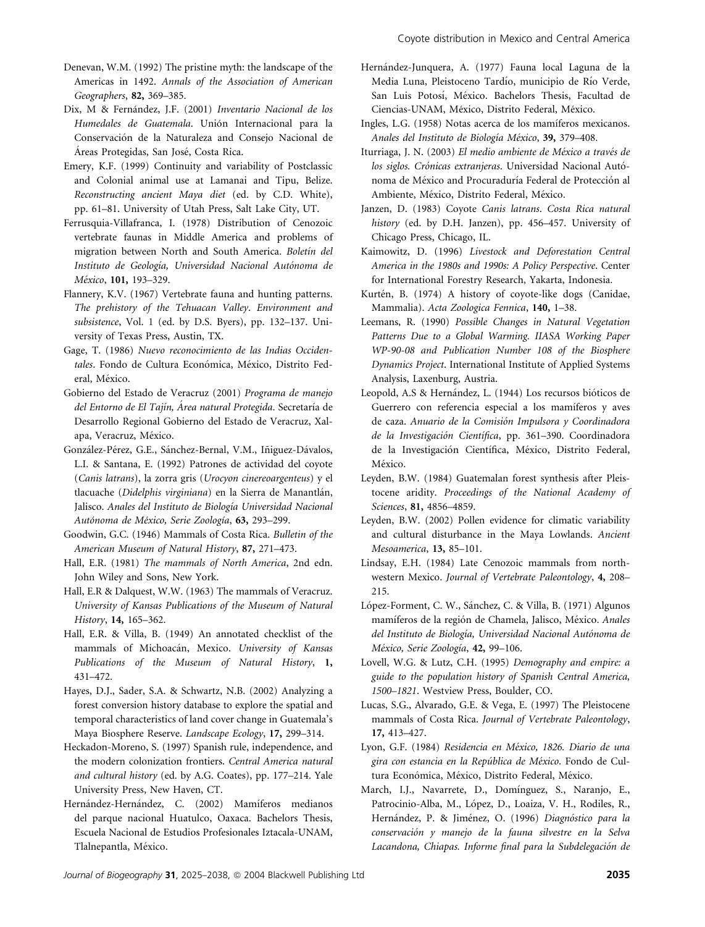- Denevan, W.M. (1992) The pristine myth: the landscape of the Americas in 1492. Annals of the Association of American Geographers, 82, 369–385.
- Dix, M & Fernández, J.F. (2001) Inventario Nacional de los Humedales de Guatemala. Unión Internacional para la Conservación de la Naturaleza and Consejo Nacional de Áreas Protegidas, San José, Costa Rica.
- Emery, K.F. (1999) Continuity and variability of Postclassic and Colonial animal use at Lamanai and Tipu, Belize. Reconstructing ancient Maya diet (ed. by C.D. White), pp. 61–81. University of Utah Press, Salt Lake City, UT.
- Ferrusquia-Villafranca, I. (1978) Distribution of Cenozoic vertebrate faunas in Middle America and problems of migration between North and South America. Boletín del Instituto de Geología, Universidad Nacional Autónoma de México, 101, 193-329.
- Flannery, K.V. (1967) Vertebrate fauna and hunting patterns. The prehistory of the Tehuacan Valley. Environment and subsistence, Vol. 1 (ed. by D.S. Byers), pp. 132–137. University of Texas Press, Austin, TX.
- Gage, T. (1986) Nuevo reconocimiento de las Indias Occidentales. Fondo de Cultura Económica, México, Distrito Federal, México.
- Gobierno del Estado de Veracruz (2001) Programa de manejo del Entorno de El Tajín, Área natural Protegida. Secretaría de Desarrollo Regional Gobierno del Estado de Veracruz, Xalapa, Veracruz, México.
- González-Pérez, G.E., Sánchez-Bernal, V.M., Iñiguez-Dávalos, L.I. & Santana, E. (1992) Patrones de actividad del coyote (Canis latrans), la zorra gris (Urocyon cinereoargenteus) y el tlacuache (Didelphis virginiana) en la Sierra de Manantlán, Jalisco. Anales del Instituto de Biología Universidad Nacional Autónoma de México, Serie Zoología, 63, 293-299.
- Goodwin, G.C. (1946) Mammals of Costa Rica. Bulletin of the American Museum of Natural History, 87, 271–473.
- Hall, E.R. (1981) The mammals of North America, 2nd edn. John Wiley and Sons, New York.
- Hall, E.R & Dalquest, W.W. (1963) The mammals of Veracruz. University of Kansas Publications of the Museum of Natural History, 14, 165–362.
- Hall, E.R. & Villa, B. (1949) An annotated checklist of the mammals of Michoacán, Mexico. University of Kansas Publications of the Museum of Natural History, 1, 431–472.
- Hayes, D.J., Sader, S.A. & Schwartz, N.B. (2002) Analyzing a forest conversion history database to explore the spatial and temporal characteristics of land cover change in Guatemala's Maya Biosphere Reserve. Landscape Ecology, 17, 299–314.
- Heckadon-Moreno, S. (1997) Spanish rule, independence, and the modern colonization frontiers. Central America natural and cultural history (ed. by A.G. Coates), pp. 177–214. Yale University Press, New Haven, CT.
- Hernández-Hernández, C. (2002) Mamíferos medianos del parque nacional Huatulco, Oaxaca. Bachelors Thesis, Escuela Nacional de Estudios Profesionales Iztacala-UNAM, Tlalnepantla, México.
- Hernández-Junquera, A. (1977) Fauna local Laguna de la Media Luna, Pleistoceno Tardío, municipio de Río Verde, San Luis Potosí, México. Bachelors Thesis, Facultad de Ciencias-UNAM, México, Distrito Federal, México.
- Ingles, L.G. (1958) Notas acerca de los mamíferos mexicanos. Anales del Instituto de Biología México, 39, 379-408.
- Iturriaga, J. N. (2003) El medio ambiente de México a través de los siglos. Crónicas extranjeras. Universidad Nacional Autónoma de México and Procuraduría Federal de Protección al Ambiente, México, Distrito Federal, México.
- Janzen, D. (1983) Coyote Canis latrans. Costa Rica natural history (ed. by D.H. Janzen), pp. 456-457. University of Chicago Press, Chicago, IL.
- Kaimowitz, D. (1996) Livestock and Deforestation Central America in the 1980s and 1990s: A Policy Perspective. Center for International Forestry Research, Yakarta, Indonesia.
- Kurtén, B. (1974) A history of coyote-like dogs (Canidae, Mammalia). Acta Zoologica Fennica, 140, 1–38.
- Leemans, R. (1990) Possible Changes in Natural Vegetation Patterns Due to a Global Warming. IIASA Working Paper WP-90-08 and Publication Number 108 of the Biosphere Dynamics Project. International Institute of Applied Systems Analysis, Laxenburg, Austria.
- Leopold, A.S & Hernández, L. (1944) Los recursos bióticos de Guerrero con referencia especial a los mamíferos y aves de caza. Anuario de la Comisión Impulsora y Coordinadora de la Investigación Científica, pp. 361-390. Coordinadora de la Investigación Científica, México, Distrito Federal, México.
- Leyden, B.W. (1984) Guatemalan forest synthesis after Pleistocene aridity. Proceedings of the National Academy of Sciences, 81, 4856–4859.
- Leyden, B.W. (2002) Pollen evidence for climatic variability and cultural disturbance in the Maya Lowlands. Ancient Mesoamerica, 13, 85–101.
- Lindsay, E.H. (1984) Late Cenozoic mammals from northwestern Mexico. Journal of Vertebrate Paleontology, 4, 208– 215.
- López-Forment, C. W., Sánchez, C. & Villa, B. (1971) Algunos mamíferos de la región de Chamela, Jalisco, México. Anales del Instituto de Biología, Universidad Nacional Autónoma de México, Serie Zoología, 42, 99-106.
- Lovell, W.G. & Lutz, C.H. (1995) Demography and empire: a guide to the population history of Spanish Central America, 1500–1821. Westview Press, Boulder, CO.
- Lucas, S.G., Alvarado, G.E. & Vega, E. (1997) The Pleistocene mammals of Costa Rica. Journal of Vertebrate Paleontology, 17, 413–427.
- Lyon, G.F. (1984) Residencia en México, 1826. Diario de una gira con estancia en la República de México. Fondo de Cultura Económica, México, Distrito Federal, México.
- March, I.J., Navarrete, D., Domínguez, S., Naranjo, E., Patrocinio-Alba, M., López, D., Loaiza, V. H., Rodiles, R., Hernández, P. & Jiménez, O. (1996) Diagnóstico para la conservación y manejo de la fauna silvestre en la Selva Lacandona, Chiapas. Informe final para la Subdelegación de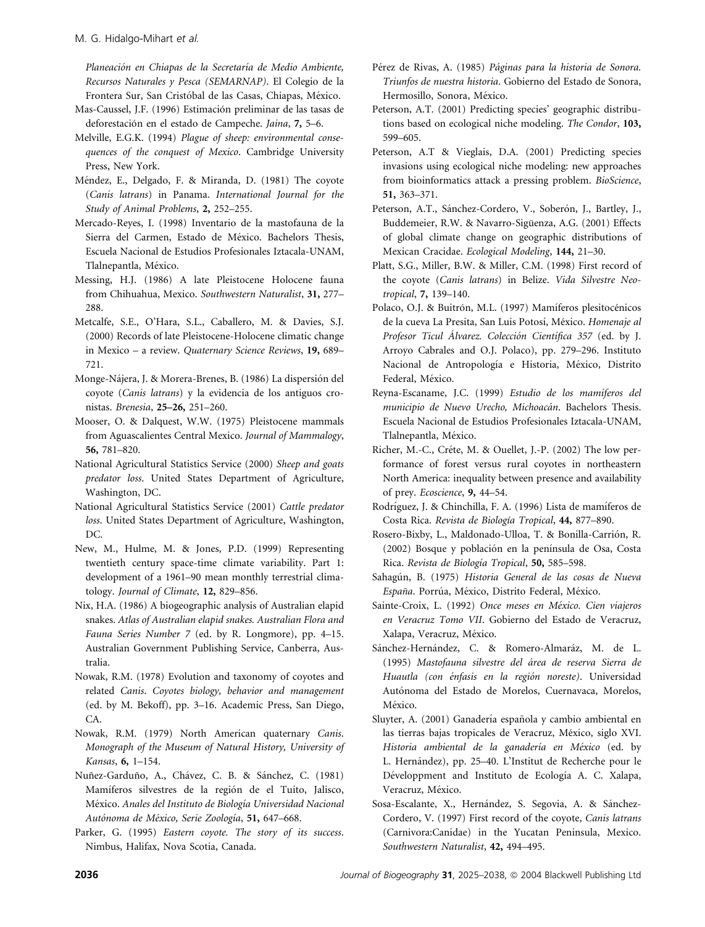Planeación en Chiapas de la Secretaría de Medio Ambiente, Recursos Naturales y Pesca (SEMARNAP). El Colegio de la Frontera Sur, San Cristóbal de las Casas, Chiapas, México.

- Mas-Caussel, J.F. (1996) Estimación preliminar de las tasas de deforestación en el estado de Campeche. Jaina, 7, 5–6.
- Melville, E.G.K. (1994) Plague of sheep: environmental consequences of the conquest of Mexico. Cambridge University Press, New York.
- Méndez, E., Delgado, F. & Miranda, D. (1981) The coyote (Canis latrans) in Panama. International Journal for the Study of Animal Problems, 2, 252–255.
- Mercado-Reyes, I. (1998) Inventario de la mastofauna de la Sierra del Carmen, Estado de México. Bachelors Thesis, Escuela Nacional de Estudios Profesionales Iztacala-UNAM, Tlalnepantla, México.
- Messing, H.J. (1986) A late Pleistocene Holocene fauna from Chihuahua, Mexico. Southwestern Naturalist, 31, 277– 288.
- Metcalfe, S.E., O'Hara, S.L., Caballero, M. & Davies, S.J. (2000) Records of late Pleistocene-Holocene climatic change in Mexico – a review. Quaternary Science Reviews, 19, 689– 721.
- Monge-Nájera, J. & Morera-Brenes, B. (1986) La dispersión del coyote (Canis latrans) y la evidencia de los antiguos cronistas. Brenesia, 25–26, 251–260.
- Mooser, O. & Dalquest, W.W. (1975) Pleistocene mammals from Aguascalientes Central Mexico. Journal of Mammalogy, 56, 781–820.
- National Agricultural Statistics Service (2000) Sheep and goats predator loss. United States Department of Agriculture, Washington, DC.
- National Agricultural Statistics Service (2001) Cattle predator loss. United States Department of Agriculture, Washington, DC.
- New, M., Hulme, M. & Jones, P.D. (1999) Representing twentieth century space-time climate variability. Part 1: development of a 1961–90 mean monthly terrestrial climatology. Journal of Climate, 12, 829–856.
- Nix, H.A. (1986) A biogeographic analysis of Australian elapid snakes. Atlas of Australian elapid snakes. Australian Flora and Fauna Series Number 7 (ed. by R. Longmore), pp. 4–15. Australian Government Publishing Service, Canberra, Australia.
- Nowak, R.M. (1978) Evolution and taxonomy of coyotes and related Canis. Coyotes biology, behavior and management (ed. by M. Bekoff), pp. 3–16. Academic Press, San Diego, CA.
- Nowak, R.M. (1979) North American quaternary Canis. Monograph of the Museum of Natural History, University of Kansas, 6, 1–154.
- Nuñez-Garduño, A., Chávez, C. B. & Sánchez, C. (1981) Mamíferos silvestres de la región de el Tuito, Jalisco, México. Anales del Instituto de Biología Universidad Nacional Autónoma de México, Serie Zoología, 51, 647-668.
- Parker, G. (1995) Eastern coyote. The story of its success. Nimbus, Halifax, Nova Scotia, Canada.
- Pérez de Rivas, A. (1985) Páginas para la historia de Sonora. Triunfos de nuestra historia. Gobierno del Estado de Sonora, Hermosillo, Sonora, México.
- Peterson, A.T. (2001) Predicting species' geographic distributions based on ecological niche modeling. The Condor, 103, 599–605.
- Peterson, A.T & Vieglais, D.A. (2001) Predicting species invasions using ecological niche modeling: new approaches from bioinformatics attack a pressing problem. BioScience, 51, 363–371.
- Peterson, A.T., Sánchez-Cordero, V., Soberón, J., Bartley, J., Buddemeier, R.W. & Navarro-Sigüenza, A.G. (2001) Effects of global climate change on geographic distributions of Mexican Cracidae. Ecological Modeling, 144, 21–30.
- Platt, S.G., Miller, B.W. & Miller, C.M. (1998) First record of the coyote (Canis latrans) in Belize. Vida Silvestre Neotropical, 7, 139–140.
- Polaco, O.J. & Buitrón, M.L. (1997) Mamíferos plesitocénicos de la cueva La Presita, San Luis Potosí, México. Homenaje al Profesor Ticul Álvarez. Colección Científica 357 (ed. by J. Arroyo Cabrales and O.J. Polaco), pp. 279–296. Instituto Nacional de Antropología e Historia, México, Distrito Federal, México.
- Reyna-Escaname, J.C. (1999) Estudio de los mamíferos del municipio de Nuevo Urecho, Michoacán. Bachelors Thesis. Escuela Nacional de Estudios Profesionales Iztacala-UNAM, Tlalnepantla, México.
- Richer, M.-C., Créte, M. & Ouellet, J.-P. (2002) The low performance of forest versus rural coyotes in northeastern North America: inequality between presence and availability of prey. Ecoscience, 9, 44–54.
- Rodríguez, J. & Chinchilla, F. A. (1996) Lista de mamíferos de Costa Rica. Revista de Biología Tropical, 44, 877–890.
- Rosero-Bixby, L., Maldonado-Ulloa, T. & Bonilla-Carrión, R. (2002) Bosque y población en la península de Osa, Costa Rica. Revista de Biología Tropical, 50, 585–598.
- Sahagún, B. (1975) Historia General de las cosas de Nueva España. Porrúa, México, Distrito Federal, México.
- Sainte-Croix, L. (1992) Once meses en México. Cien viajeros en Veracruz Tomo VII. Gobierno del Estado de Veracruz, Xalapa, Veracruz, México.
- Sánchez-Hernández, C. & Romero-Almaráz, M. de L. (1995) Mastofauna silvestre del área de reserva Sierra de Huautla (con énfasis en la región noreste). Universidad Autónoma del Estado de Morelos, Cuernavaca, Morelos, México.
- Sluyter, A. (2001) Ganadería española y cambio ambiental en las tierras bajas tropicales de Veracruz, México, siglo XVI. Historia ambiental de la ganadería en México (ed. by L. Hernández), pp. 25–40. L'Institut de Recherche pour le Développment and Instituto de Ecología A. C. Xalapa, Veracruz, México.
- Sosa-Escalante, X., Hernández, S. Segovia, A. & Sánchez-Cordero, V. (1997) First record of the coyote, Canis latrans (Carnivora:Canidae) in the Yucatan Peninsula, Mexico. Southwestern Naturalist, 42, 494–495.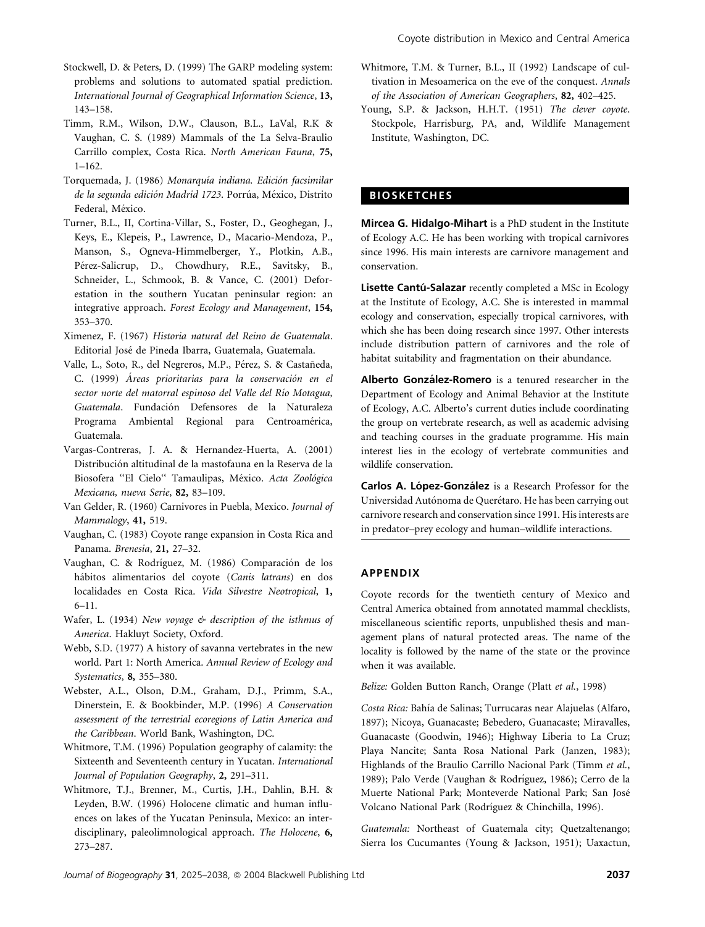- Stockwell, D. & Peters, D. (1999) The GARP modeling system: problems and solutions to automated spatial prediction. International Journal of Geographical Information Science, 13, 143–158.
- Timm, R.M., Wilson, D.W., Clauson, B.L., LaVal, R.K & Vaughan, C. S. (1989) Mammals of the La Selva-Braulio Carrillo complex, Costa Rica. North American Fauna, 75, 1–162.
- Torquemada, J. (1986) Monarquía indiana. Edición facsimilar de la segunda edición Madrid 1723. Porrúa, México, Distrito Federal, México.
- Turner, B.L., II, Cortina-Villar, S., Foster, D., Geoghegan, J., Keys, E., Klepeis, P., Lawrence, D., Macario-Mendoza, P., Manson, S., Ogneva-Himmelberger, Y., Plotkin, A.B., Pérez-Salicrup, D., Chowdhury, R.E., Savitsky, B., Schneider, L., Schmook, B. & Vance, C. (2001) Deforestation in the southern Yucatan peninsular region: an integrative approach. Forest Ecology and Management, 154, 353–370.
- Ximenez, F. (1967) Historia natural del Reino de Guatemala. Editorial Jose´ de Pineda Ibarra, Guatemala, Guatemala.
- Valle, L., Soto, R., del Negreros, M.P., Pérez, S. & Castañeda, C. (1999) Áreas prioritarias para la conservación en el sector norte del matorral espinoso del Valle del Río Motagua, Guatemala. Fundación Defensores de la Naturaleza Programa Ambiental Regional para Centroamérica, Guatemala.
- Vargas-Contreras, J. A. & Hernandez-Huerta, A. (2001) Distribución altitudinal de la mastofauna en la Reserva de la Biosofera "El Cielo" Tamaulipas, México. Acta Zoológica Mexicana, nueva Serie, 82, 83–109.
- Van Gelder, R. (1960) Carnivores in Puebla, Mexico. Journal of Mammalogy, 41, 519.
- Vaughan, C. (1983) Coyote range expansion in Costa Rica and Panama. Brenesia, 21, 27–32.
- Vaughan, C. & Rodríguez, M. (1986) Comparación de los hábitos alimentarios del coyote (Canis latrans) en dos localidades en Costa Rica. Vida Silvestre Neotropical, 1, 6–11.
- Wafer, L. (1934) New voyage & description of the isthmus of America. Hakluyt Society, Oxford.
- Webb, S.D. (1977) A history of savanna vertebrates in the new world. Part 1: North America. Annual Review of Ecology and Systematics, 8, 355–380.
- Webster, A.L., Olson, D.M., Graham, D.J., Primm, S.A., Dinerstein, E. & Bookbinder, M.P. (1996) A Conservation assessment of the terrestrial ecoregions of Latin America and the Caribbean. World Bank, Washington, DC.
- Whitmore, T.M. (1996) Population geography of calamity: the Sixteenth and Seventeenth century in Yucatan. International Journal of Population Geography, 2, 291–311.
- Whitmore, T.J., Brenner, M., Curtis, J.H., Dahlin, B.H. & Leyden, B.W. (1996) Holocene climatic and human influences on lakes of the Yucatan Peninsula, Mexico: an interdisciplinary, paleolimnological approach. The Holocene, 6, 273–287.
- Whitmore, T.M. & Turner, B.L., II (1992) Landscape of cultivation in Mesoamerica on the eve of the conquest. Annals of the Association of American Geographers, 82, 402–425.
- Young, S.P. & Jackson, H.H.T. (1951) The clever coyote. Stockpole, Harrisburg, PA, and, Wildlife Management Institute, Washington, DC.

# **BIOSKETCHES**

Mircea G. Hidalgo-Mihart is a PhD student in the Institute of Ecology A.C. He has been working with tropical carnivores since 1996. His main interests are carnivore management and conservation.

Lisette Cantú-Salazar recently completed a MSc in Ecology at the Institute of Ecology, A.C. She is interested in mammal ecology and conservation, especially tropical carnivores, with which she has been doing research since 1997. Other interests include distribution pattern of carnivores and the role of habitat suitability and fragmentation on their abundance.

Alberto González-Romero is a tenured researcher in the Department of Ecology and Animal Behavior at the Institute of Ecology, A.C. Alberto's current duties include coordinating the group on vertebrate research, as well as academic advising and teaching courses in the graduate programme. His main interest lies in the ecology of vertebrate communities and wildlife conservation.

Carlos A. López-González is a Research Professor for the Universidad Autónoma de Querétaro. He has been carrying out carnivore research and conservation since 1991. His interests are in predator–prey ecology and human–wildlife interactions.

# APPENDIX

Coyote records for the twentieth century of Mexico and Central America obtained from annotated mammal checklists, miscellaneous scientific reports, unpublished thesis and management plans of natural protected areas. The name of the locality is followed by the name of the state or the province when it was available.

Belize: Golden Button Ranch, Orange (Platt et al., 1998)

Costa Rica: Bahía de Salinas; Turrucaras near Alajuelas (Alfaro, 1897); Nicoya, Guanacaste; Bebedero, Guanacaste; Miravalles, Guanacaste (Goodwin, 1946); Highway Liberia to La Cruz; Playa Nancite; Santa Rosa National Park (Janzen, 1983); Highlands of the Braulio Carrillo Nacional Park (Timm et al., 1989); Palo Verde (Vaughan & Rodríguez, 1986); Cerro de la Muerte National Park; Monteverde National Park; San Jose´ Volcano National Park (Rodríguez & Chinchilla, 1996).

Guatemala: Northeast of Guatemala city; Quetzaltenango; Sierra los Cucumantes (Young & Jackson, 1951); Uaxactun,